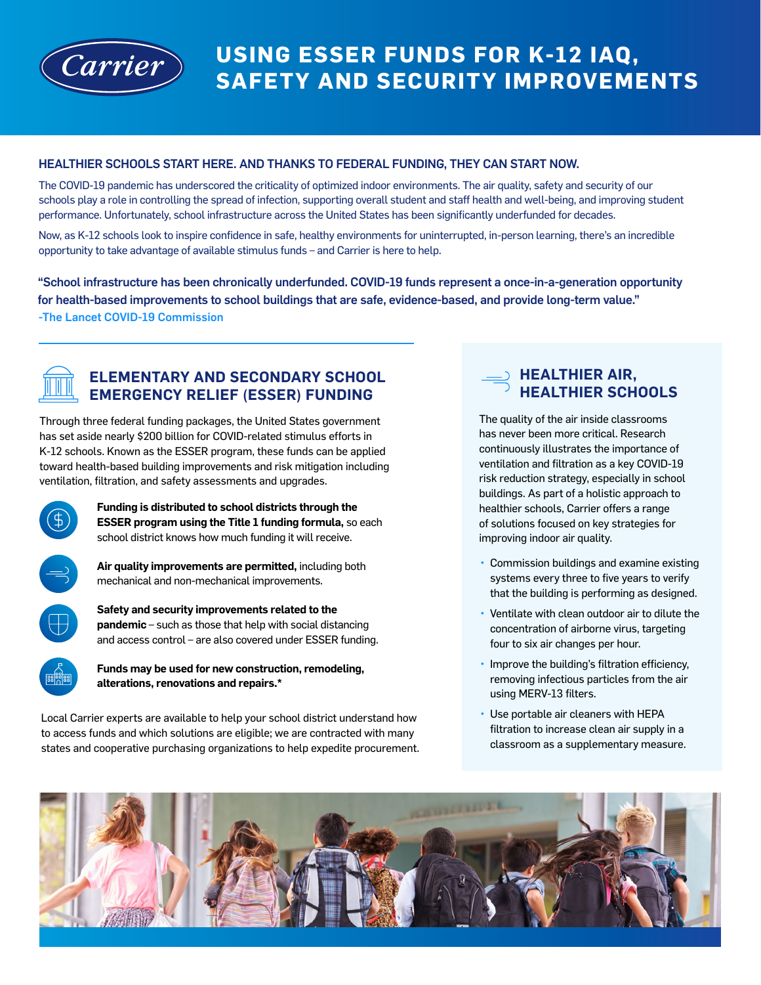

# **USING ESSER FUNDS FOR K-12 IAQ, SAFETY AND SECURITY IMPROVEMENTS**

#### HEALTHIER SCHOOLS START HERE. AND THANKS TO FEDERAL FUNDING, THEY CAN START NOW.

The COVID-19 pandemic has underscored the criticality of optimized indoor environments. The air quality, safety and security of our schools play a role in controlling the spread of infection, supporting overall student and staff health and well-being, and improving student performance. Unfortunately, school infrastructure across the United States has been significantly underfunded for decades.

Now, as K-12 schools look to inspire confidence in safe, healthy environments for uninterrupted, in-person learning, there's an incredible opportunity to take advantage of available stimulus funds – and Carrier is here to help.

"School infrastructure has been chronically underfunded. COVID-19 funds represent a once-in-a-generation opportunity for health-based improvements to school buildings that are safe, evidence-based, and provide long-term value." -The Lancet COVID-19 Commission



## **ELEMENTARY AND SECONDARY SCHOOL EMERGENCY RELIEF (ESSER) FUNDING**

Through three federal funding packages, the United States government has set aside nearly \$200 billion for COVID-related stimulus efforts in K-12 schools. Known as the ESSER program, these funds can be applied toward health-based building improvements and risk mitigation including ventilation, filtration, and safety assessments and upgrades.



**Funding is distributed to school districts through the ESSER program using the Title 1 funding formula,** so each school district knows how much funding it will receive.

**Air quality improvements are permitted,** including both mechanical and non-mechanical improvements.



**Safety and security improvements related to the pandemic** – such as those that help with social distancing and access control – are also covered under ESSER funding.



**Funds may be used for new construction, remodeling, alterations, renovations and repairs.\***

Local Carrier experts are available to help your school district understand how to access funds and which solutions are eligible; we are contracted with many states and cooperative purchasing organizations to help expedite procurement.

## **HEALTHIER AIR, HEALTHIER SCHOOLS**

The quality of the air inside classrooms has never been more critical. Research continuously illustrates the importance of ventilation and filtration as a key COVID-19 risk reduction strategy, especially in school buildings. As part of a holistic approach to healthier schools, Carrier offers a range of solutions focused on key strategies for improving indoor air quality.

- Commission buildings and examine existing systems every three to five years to verify that the building is performing as designed.
- Ventilate with clean outdoor air to dilute the concentration of airborne virus, targeting four to six air changes per hour.
- Improve the building's filtration efficiency, removing infectious particles from the air using MERV-13 filters.
- Use portable air cleaners with HEPA filtration to increase clean air supply in a classroom as a supplementary measure.